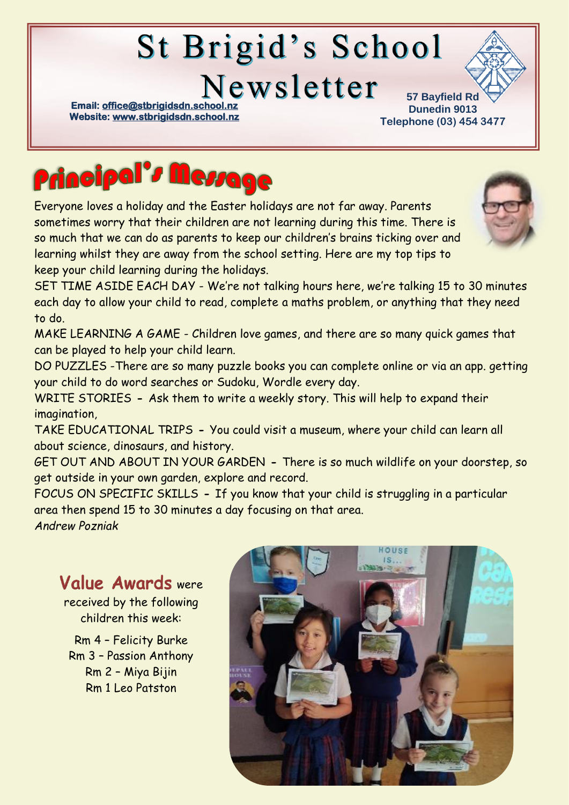# St Brigid's School

Newsletter

**Email: office@stbrigidsdn.school Website[: www.stbrigidsdn.school.nz](http://www.stbrigidsdn.school.nz/)** 

**57 Bayfield Rd Dunedin 9013 Telephone (03) 454 3477** 



Everyone loves a holiday and the Easter holidays are not far away. Parents sometimes worry that their children are not learning during this time. There is so much that we can do as parents to keep our children's brains ticking over and learning whilst they are away from the school setting. Here are my top tips to keep your child learning during the holidays.



SET TIME ASIDE EACH DAY - We're not talking hours here, we're talking 15 to 30 minutes each day to allow your child to read, complete a maths problem, or anything that they need to do.

MAKE LEARNING A GAME - Children love games, and there are so many quick games that can be played to help your child learn.

DO PUZZLES -There are so many puzzle books you can complete online or via an app. getting your child to do word searches or Sudoku, Wordle every day.

WRITE STORIES **-** Ask them to write a weekly story. This will help to expand their imagination,

TAKE EDUCATIONAL TRIPS **-** You could visit a museum, where your child can learn all about science, dinosaurs, and history.

GET OUT AND ABOUT IN YOUR GARDEN **-** There is so much wildlife on your doorstep, so get outside in your own garden, explore and record.

FOCUS ON SPECIFIC SKILLS **-** If you know that your child is struggling in a particular area then spend 15 to 30 minutes a day focusing on that area.

*Andrew Pozniak*

## Value Awards were

received by the following children this week:

Rm 4 – Felicity Burke Rm 3 – Passion Anthony Rm 2 – Miya Bijin Rm 1 Leo Patston

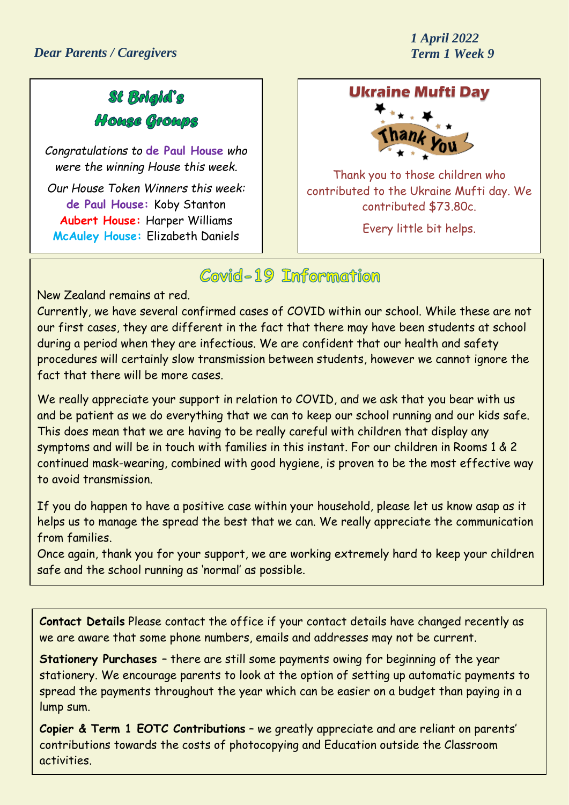*1 April 2022*

#### St Bolgld's House Groups

*Congratulations to* **de Paul House** *who were the winning House this week.*

*Our House Token Winners this week:* **de Paul House:** Koby Stanton **Aubert House:** Harper Williams **McAuley House:** Elizabeth Daniels

#### **Ukraine Mufti Day**



Thank you to those children who contributed to the Ukraine Mufti day. We contributed \$73.80c.

Every little bit helps.

#### Covid-19 Information

New Zealand remains at red.

Currently, we have several confirmed cases of COVID within our school. While these are not our first cases, they are different in the fact that there may have been students at school during a period when they are infectious. We are confident that our health and safety procedures will certainly slow transmission between students, however we cannot ignore the fact that there will be more cases.

We really appreciate your support in relation to COVID, and we ask that you bear with us and be patient as we do everything that we can to keep our school running and our kids safe. This does mean that we are having to be really careful with children that display any symptoms and will be in touch with families in this instant. For our children in Rooms 1 & 2 continued mask-wearing, combined with good hygiene, is proven to be the most effective way to avoid transmission.

If you do happen to have a positive case within your household, please let us know asap as it helps us to manage the spread the best that we can. We really appreciate the communication from families.

Once again, thank you for your support, we are working extremely hard to keep your children safe and the school running as 'normal' as possible.

**Contact Details** Please contact the office if your contact details have changed recently as we are aware that some phone numbers, emails and addresses may not be current.

**Stationery Purchases** – there are still some payments owing for beginning of the year stationery. We encourage parents to look at the option of setting up automatic payments to spread the payments throughout the year which can be easier on a budget than paying in a lump sum.

**Copier & Term 1 EOTC Contributions** – we greatly appreciate and are reliant on parents' contributions towards the costs of photocopying and Education outside the Classroom activities.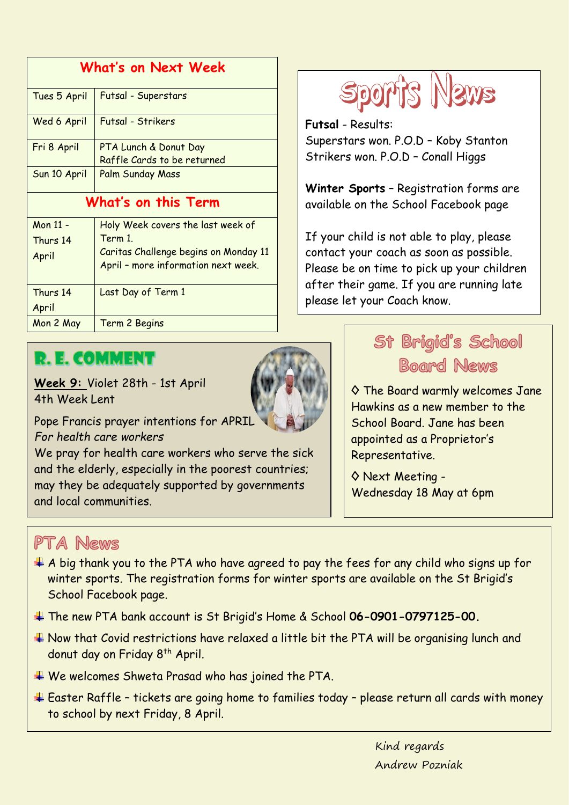| What's on Next Week |                                       |
|---------------------|---------------------------------------|
| Tues 5 April        | Futsal - Superstars                   |
| Wed 6 April         | Futsal - Strikers                     |
| Fri 8 April         | PTA Lunch & Donut Day                 |
|                     | Raffle Cards to be returned           |
| Sun 10 April        | Palm Sunday Mass                      |
| What's on this Term |                                       |
| Mon 11 -            | Holy Week covers the last week of     |
| Thurs 14            | Term 1.                               |
| April               | Caritas Challenge begins on Monday 11 |
|                     | April - more information next week.   |
| Thurs 14            | Last Day of Term 1                    |
| April               |                                       |
| Mon 2 May           | Term 2 Begins                         |



**Futsal** - Results: Superstars won. P.O.D – Koby Stanton Strikers won. P.O.D – Conall Higgs

**Winter Sports** – Registration forms are available on the School Facebook page

If your child is not able to play, please contact your coach as soon as possible. Please be on time to pick up your children after their game. If you are running late please let your Coach know.

### **R. E. COMMENT**

**Week 9:** Violet 28th - 1st April 4th Week Lent



Pope Francis prayer intentions for APRIL *For health care workers*

We pray for health care workers who serve the sick and the elderly, especially in the poorest countries; may they be adequately supported by governments and local communities.

## St Brigid's School **Board News**

◊ The Board warmly welcomes Jane Hawkins as a new member to the School Board. Jane has been appointed as a Proprietor's Representative.

◊ Next Meeting - Wednesday 18 May at 6pm

#### PTA News

- $\pm$  A big thank you to the PTA who have agreed to pay the fees for any child who signs up for winter sports. The registration forms for winter sports are available on the St Brigid's School Facebook page.
- The new PTA bank account is St Brigid's Home & School **06-0901-0797125-00.**
- Now that Covid restrictions have relaxed a little bit the PTA will be organising lunch and donut day on Friday 8<sup>th</sup> April.
- We welcomes Shweta Prasad who has joined the PTA.
- Easter Raffle tickets are going home to families today please return all cards with money to school by next Friday, 8 April.